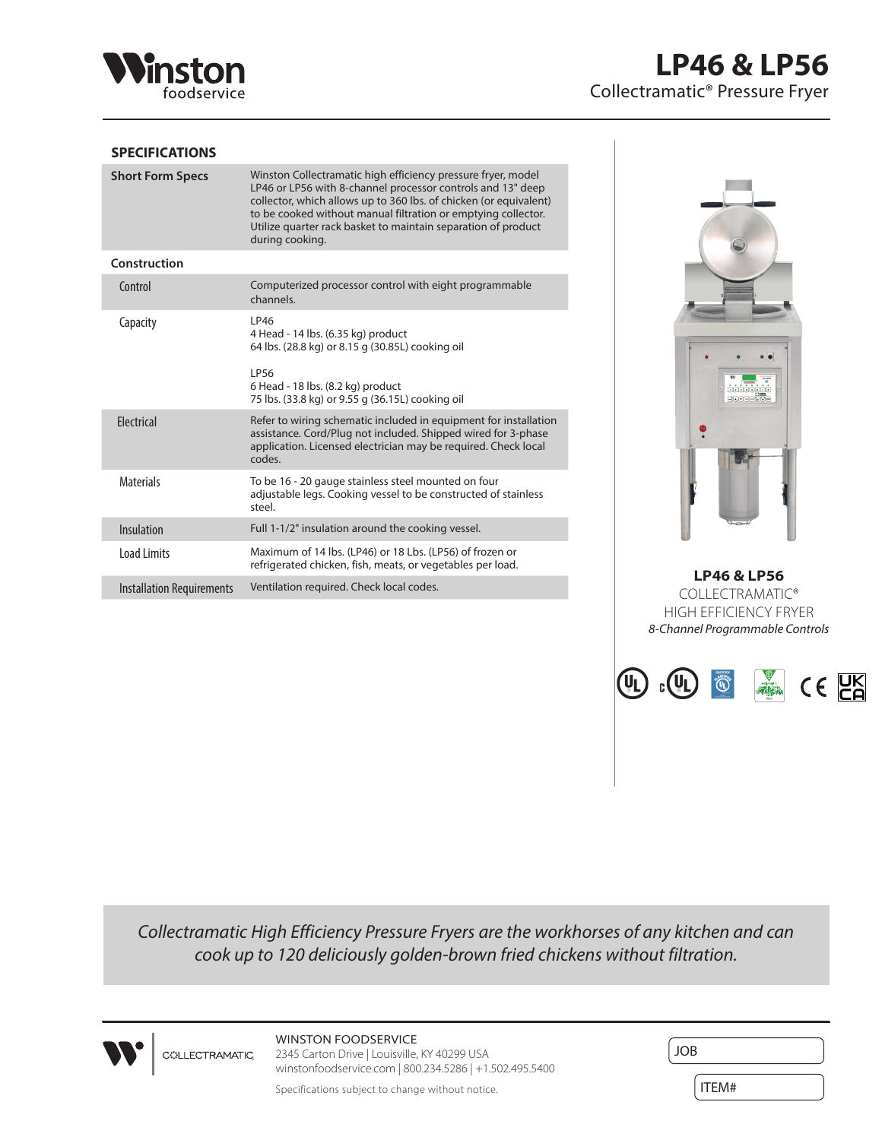

## **SPECIFICATIONS**

| <b>Short Form Specs</b>          | Winston Collectramatic high efficiency pressure fryer, model<br>LP46 or LP56 with 8-channel processor controls and 13" deep<br>collector, which allows up to 360 lbs. of chicken (or equivalent)<br>to be cooked without manual filtration or emptying collector.<br>Utilize quarter rack basket to maintain separation of product<br>during cooking. |
|----------------------------------|-------------------------------------------------------------------------------------------------------------------------------------------------------------------------------------------------------------------------------------------------------------------------------------------------------------------------------------------------------|
| Construction                     |                                                                                                                                                                                                                                                                                                                                                       |
| Control                          | Computerized processor control with eight programmable<br>channels.                                                                                                                                                                                                                                                                                   |
| Capacity                         | LP46<br>4 Head - 14 lbs. (6.35 kg) product<br>64 lbs. (28.8 kg) or 8.15 g (30.85L) cooking oil<br>IP56<br>6 Head - 18 lbs. (8.2 kg) product<br>75 lbs. (33.8 kg) or 9.55 g (36.15L) cooking oil                                                                                                                                                       |
| <b>Flectrical</b>                | Refer to wiring schematic included in equipment for installation<br>assistance. Cord/Plug not included. Shipped wired for 3-phase<br>application. Licensed electrician may be required. Check local<br>codes.                                                                                                                                         |
| <b>Materials</b>                 | To be 16 - 20 gauge stainless steel mounted on four<br>adjustable legs. Cooking vessel to be constructed of stainless<br>steel.                                                                                                                                                                                                                       |
| Insulation                       | Full 1-1/2" insulation around the cooking vessel.                                                                                                                                                                                                                                                                                                     |
| Load Limits                      | Maximum of 14 lbs. (LP46) or 18 Lbs. (LP56) of frozen or<br>refrigerated chicken, fish, meats, or vegetables per load.                                                                                                                                                                                                                                |
| <b>Installation Requirements</b> | Ventilation required. Check local codes.                                                                                                                                                                                                                                                                                                              |



**LP46 & LP56** COLLECTRAMATIC® HIGH EFFICIENCY FRYER *8-Channel Programmable Controls*



*Collectramatic High Efficiency Pressure Fryers are the workhorses of any kitchen and can cook up to 120 deliciously golden-brown fried chickens without filtration.*



WINSTON FOODSERVICE **COLLECTRAMATIC** 

2345 Carton Drive | Louisville, KY 40299 USA winstonfoodservice.com | 800.234.5286 | +1.502.495.5400

Specifications subject to change without notice.

| <b>JOB</b> |  |
|------------|--|
| ITEM#      |  |